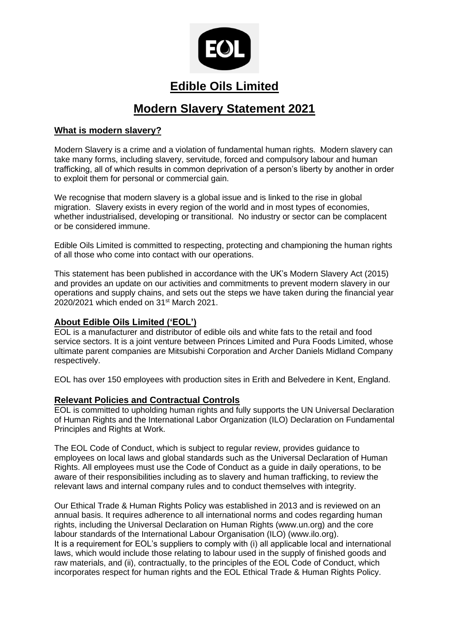

# **Edible Oils Limited**

# **Modern Slavery Statement 2021**

## **What is modern slavery?**

Modern Slavery is a crime and a violation of fundamental human rights. Modern slavery can take many forms, including slavery, servitude, forced and compulsory labour and human trafficking, all of which results in common deprivation of a person's liberty by another in order to exploit them for personal or commercial gain.

We recognise that modern slavery is a global issue and is linked to the rise in global migration. Slavery exists in every region of the world and in most types of economies, whether industrialised, developing or transitional. No industry or sector can be complacent or be considered immune.

Edible Oils Limited is committed to respecting, protecting and championing the human rights of all those who come into contact with our operations.

This statement has been published in accordance with the UK's Modern Slavery Act (2015) and provides an update on our activities and commitments to prevent modern slavery in our operations and supply chains, and sets out the steps we have taken during the financial year 2020/2021 which ended on 31st March 2021.

## **About Edible Oils Limited ('EOL')**

EOL is a manufacturer and distributor of edible oils and white fats to the retail and food service sectors. It is a joint venture between Princes Limited and Pura Foods Limited, whose ultimate parent companies are Mitsubishi Corporation and Archer Daniels Midland Company respectively.

EOL has over 150 employees with production sites in Erith and Belvedere in Kent, England.

## **Relevant Policies and Contractual Controls**

EOL is committed to upholding human rights and fully supports the UN Universal Declaration of Human Rights and the International Labor Organization (ILO) Declaration on Fundamental Principles and Rights at Work.

The EOL Code of Conduct, which is subject to regular review, provides guidance to employees on local laws and global standards such as the Universal Declaration of Human Rights. All employees must use the Code of Conduct as a guide in daily operations, to be aware of their responsibilities including as to slavery and human trafficking, to review the relevant laws and internal company rules and to conduct themselves with integrity.

Our Ethical Trade & Human Rights Policy was established in 2013 and is reviewed on an annual basis. It requires adherence to all international norms and codes regarding human rights, including the Universal Declaration on Human Rights (www.un.org) and the core labour standards of the International Labour Organisation (ILO) (www.ilo.org). It is a requirement for EOL's suppliers to comply with (i) all applicable local and international laws, which would include those relating to labour used in the supply of finished goods and raw materials, and (ii), contractually, to the principles of the EOL Code of Conduct, which incorporates respect for human rights and the EOL Ethical Trade & Human Rights Policy.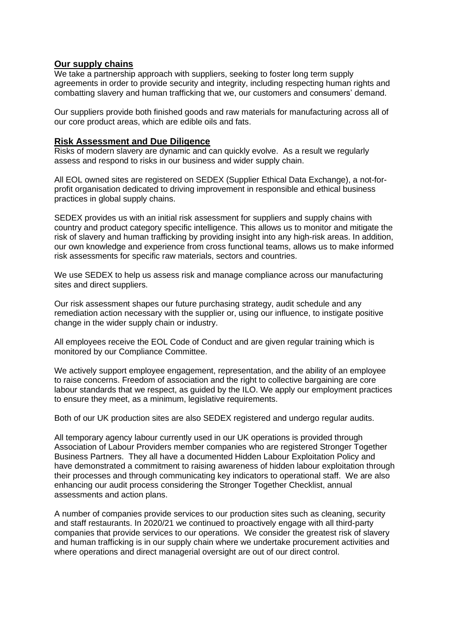#### **Our supply chains**

We take a partnership approach with suppliers, seeking to foster long term supply agreements in order to provide security and integrity, including respecting human rights and combatting slavery and human trafficking that we, our customers and consumers' demand.

Our suppliers provide both finished goods and raw materials for manufacturing across all of our core product areas, which are edible oils and fats.

#### **Risk Assessment and Due Diligence**

Risks of modern slavery are dynamic and can quickly evolve. As a result we regularly assess and respond to risks in our business and wider supply chain.

All EOL owned sites are registered on SEDEX (Supplier Ethical Data Exchange), a not-forprofit organisation dedicated to driving improvement in responsible and ethical business practices in global supply chains.

SEDEX provides us with an initial risk assessment for suppliers and supply chains with country and product category specific intelligence. This allows us to monitor and mitigate the risk of slavery and human trafficking by providing insight into any high-risk areas. In addition, our own knowledge and experience from cross functional teams, allows us to make informed risk assessments for specific raw materials, sectors and countries.

We use SEDEX to help us assess risk and manage compliance across our manufacturing sites and direct suppliers.

Our risk assessment shapes our future purchasing strategy, audit schedule and any remediation action necessary with the supplier or, using our influence, to instigate positive change in the wider supply chain or industry.

All employees receive the EOL Code of Conduct and are given regular training which is monitored by our Compliance Committee.

We actively support employee engagement, representation, and the ability of an employee to raise concerns. Freedom of association and the right to collective bargaining are core labour standards that we respect, as guided by the ILO. We apply our employment practices to ensure they meet, as a minimum, legislative requirements.

Both of our UK production sites are also SEDEX registered and undergo regular audits.

All temporary agency labour currently used in our UK operations is provided through Association of Labour Providers member companies who are registered Stronger Together Business Partners. They all have a documented Hidden Labour Exploitation Policy and have demonstrated a commitment to raising awareness of hidden labour exploitation through their processes and through communicating key indicators to operational staff. We are also enhancing our audit process considering the Stronger Together Checklist, annual assessments and action plans.

A number of companies provide services to our production sites such as cleaning, security and staff restaurants. In 2020/21 we continued to proactively engage with all third-party companies that provide services to our operations. We consider the greatest risk of slavery and human trafficking is in our supply chain where we undertake procurement activities and where operations and direct managerial oversight are out of our direct control.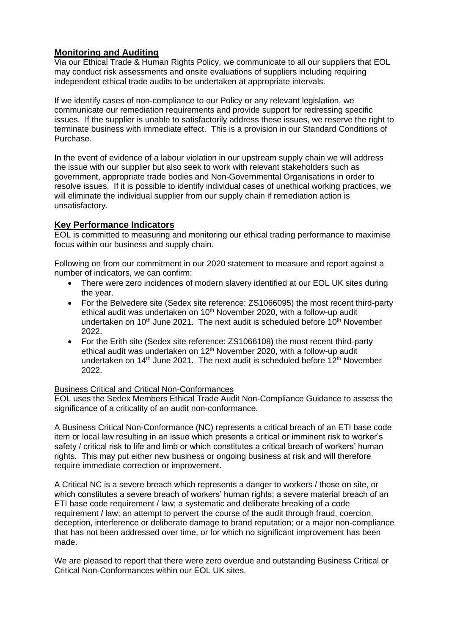## **Monitoring and Auditing**

Via our Ethical Trade & Human Rights Policy, we communicate to all our suppliers that EOL may conduct risk assessments and onsite evaluations of suppliers including requiring independent ethical trade audits to be undertaken at appropriate intervals.

If we identify cases of non-compliance to our Policy or any relevant legislation, we communicate our remediation requirements and provide support for redressing specific issues. If the supplier is unable to satisfactorily address these issues, we reserve the right to terminate business with immediate effect. This is a provision in our Standard Conditions of Purchase.

In the event of evidence of a labour violation in our upstream supply chain we will address the issue with our supplier but also seek to work with relevant stakeholders such as government, appropriate trade bodies and Non-Governmental Organisations in order to resolve issues. If it is possible to identify individual cases of unethical working practices, we will eliminate the individual supplier from our supply chain if remediation action is unsatisfactory.

## **Key Performance Indicators**

EOL is committed to measuring and monitoring our ethical trading performance to maximise focus within our business and supply chain.

Following on from our commitment in our 2020 statement to measure and report against a number of indicators, we can confirm:

- There were zero incidences of modern slavery identified at our EOL UK sites during the year.
- For the Belvedere site (Sedex site reference: ZS1066095) the most recent third-party ethical audit was undertaken on  $10<sup>th</sup>$  November 2020, with a follow-up audit undertaken on  $10<sup>th</sup>$  June 2021. The next audit is scheduled before  $10<sup>th</sup>$  November 2022.
- For the Erith site (Sedex site reference: ZS1066108) the most recent third-party ethical audit was undertaken on  $12<sup>th</sup>$  November 2020, with a follow-up audit undertaken on  $14<sup>th</sup>$  June 2021. The next audit is scheduled before  $12<sup>th</sup>$  November 2022.

#### Business Critical and Critical Non-Conformances

EOL uses the Sedex Members Ethical Trade Audit Non-Compliance Guidance to assess the significance of a criticality of an audit non-conformance.

A Business Critical Non-Conformance (NC) represents a critical breach of an ETI base code item or local law resulting in an issue which presents a critical or imminent risk to worker's safety / critical risk to life and limb or which constitutes a critical breach of workers' human rights. This may put either new business or ongoing business at risk and will therefore require immediate correction or improvement.

A Critical NC is a severe breach which represents a danger to workers / those on site, or which constitutes a severe breach of workers' human rights; a severe material breach of an ETI base code requirement / law; a systematic and deliberate breaking of a code requirement / law; an attempt to pervert the course of the audit through fraud, coercion, deception, interference or deliberate damage to brand reputation; or a major non-compliance that has not been addressed over time, or for which no significant improvement has been made.

We are pleased to report that there were zero overdue and outstanding Business Critical or Critical Non-Conformances within our EOL UK sites.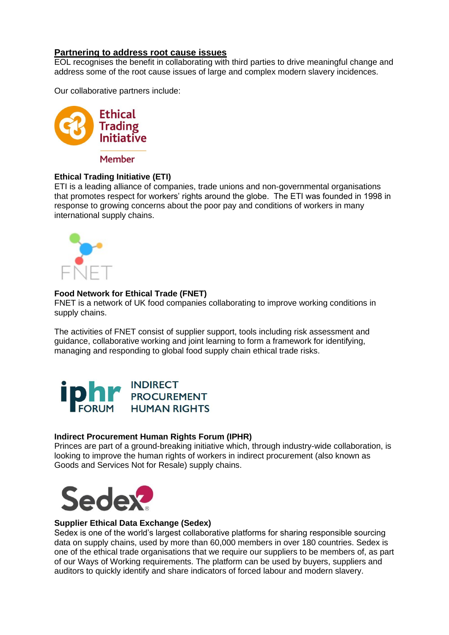## **Partnering to address root cause issues**

EOL recognises the benefit in collaborating with third parties to drive meaningful change and address some of the root cause issues of large and complex modern slavery incidences.

Our collaborative partners include:



Member

#### **Ethical Trading Initiative (ETI)**

ETI is a leading alliance of companies, trade unions and non-governmental organisations that promotes respect for workers' rights around the globe. The ETI was founded in 1998 in response to growing concerns about the poor pay and conditions of workers in many international supply chains.



#### **Food Network for Ethical Trade (FNET)**

FNET is a network of UK food companies collaborating to improve working conditions in supply chains.

The activities of FNET consist of supplier support, tools including risk assessment and guidance, collaborative working and joint learning to form a framework for identifying, managing and responding to global food supply chain ethical trade risks.



#### **Indirect Procurement Human Rights Forum (IPHR)**

Princes are part of a ground-breaking initiative which, through industry-wide collaboration, is looking to improve the human rights of workers in indirect procurement (also known as Goods and Services Not for Resale) supply chains.



#### **Supplier Ethical Data Exchange (Sedex)**

Sedex is one of the world's largest collaborative platforms for sharing responsible sourcing data on supply chains, used by more than 60,000 members in over 180 countries. Sedex is one of the ethical trade organisations that we require our suppliers to be members of, as part of our Ways of Working requirements. The platform can be used by buyers, suppliers and auditors to quickly identify and share indicators of forced labour and modern slavery.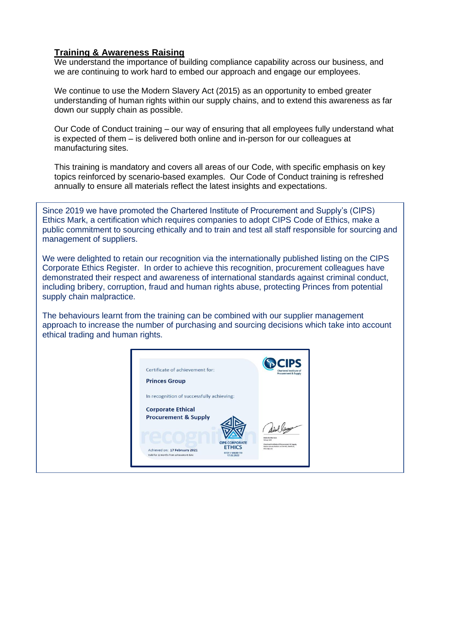## **Training & Awareness Raising**

We understand the importance of building compliance capability across our business, and we are continuing to work hard to embed our approach and engage our employees.

We continue to use the Modern Slavery Act (2015) as an opportunity to embed greater understanding of human rights within our supply chains, and to extend this awareness as far down our supply chain as possible.

Our Code of Conduct training – our way of ensuring that all employees fully understand what is expected of them – is delivered both online and in-person for our colleagues at manufacturing sites.

This training is mandatory and covers all areas of our Code, with specific emphasis on key topics reinforced by scenario-based examples. Our Code of Conduct training is refreshed annually to ensure all materials reflect the latest insights and expectations.

Since 2019 we have promoted the Chartered Institute of Procurement and Supply's (CIPS) Ethics Mark, a certification which requires companies to adopt CIPS Code of Ethics, make a public commitment to sourcing ethically and to train and test all staff responsible for sourcing and management of suppliers.

We were delighted to retain our recognition via the internationally published listing on the CIPS Corporate Ethics Register. In order to achieve this recognition, procurement colleagues have demonstrated their respect and awareness of international standards against criminal conduct, including bribery, corruption, fraud and human rights abuse, protecting Princes from potential supply chain malpractice.

The behaviours learnt from the training can be combined with our supplier management approach to increase the number of purchasing and sourcing decisions which take into account ethical trading and human rights.